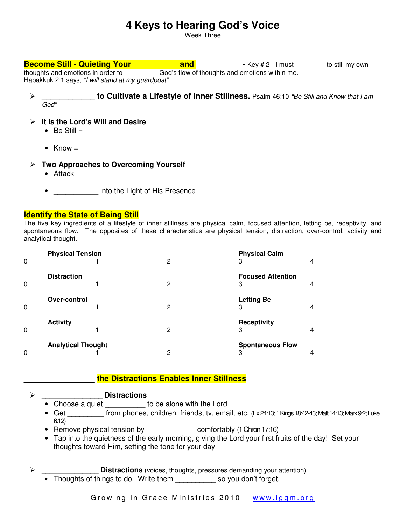# **4 Keys to Hearing God's Voice**

Week Three

# **Become Still - Quieting Your** \_\_\_\_\_\_\_\_\_\_ **and** \_\_\_\_\_\_\_\_\_\_ **-** Key # 2 - I must \_\_\_\_\_\_\_\_ to still my own thoughts and emotions in order to \_\_\_\_\_\_\_\_\_ God's flow of thoughts and emotions within me. Habakkuk 2:1 says, "I will stand at my guardpost"

 \_\_\_\_\_\_\_\_\_\_\_\_ **to Cultivate a Lifestyle of Inner Stillness.** Psalm 46:10 "Be Still and Know that I am God"

### **It Is the Lord's Will and Desire**

- $\bullet$  Be Still  $=$
- Know  $=$

### **Two Approaches to Overcoming Yourself**

- Attack \_\_\_\_\_\_\_\_\_\_\_\_\_ –
- \_\_\_\_\_\_\_\_\_\_\_ into the Light of His Presence –

### **Identify the State of Being Still**

The five key ingredients of a lifestyle of inner stillness are physical calm, focused attention, letting be, receptivity, and spontaneous flow. The opposites of these characteristics are physical tension, distraction, over-control, activity and analytical thought.

| 0 | <b>Physical Tension</b>   | 2 | <b>Physical Calm</b><br>3     | 4 |
|---|---------------------------|---|-------------------------------|---|
| 0 | <b>Distraction</b>        | 2 | <b>Focused Attention</b><br>3 | 4 |
| 0 | Over-control              | 2 | <b>Letting Be</b><br>3        | 4 |
| 0 | <b>Activity</b>           | 2 | <b>Receptivity</b><br>3       | 4 |
| 0 | <b>Analytical Thought</b> | 2 | <b>Spontaneous Flow</b><br>З  | 4 |

### \_\_\_\_\_\_\_\_\_\_\_\_\_\_\_\_ **the Distractions Enables Inner Stillness**

### \_\_\_\_\_\_\_\_\_\_\_\_\_\_\_ **Distractions**

- Choose a quiet \_\_\_\_\_\_\_\_\_\_ to be alone with the Lord
- Get \_\_\_\_\_\_\_\_ from phones, children, friends, tv, email, etc. (Ex 24:13; 1 Kings 18:42-43; Matt 14:13; Mark 92; Luke 6:12)
- Remove physical tension by \_\_\_\_\_\_\_\_\_\_\_\_\_\_\_ comfortably (1 Chron 17:16)
- Tap into the quietness of the early morning, giving the Lord your first fruits of the day! Set your thoughts toward Him, setting the tone for your day
- **Distractions** (voices, thoughts, pressures demanding your attention)
	- Thoughts of things to do. Write them \_\_\_\_\_\_\_\_\_\_\_ so you don't forget.